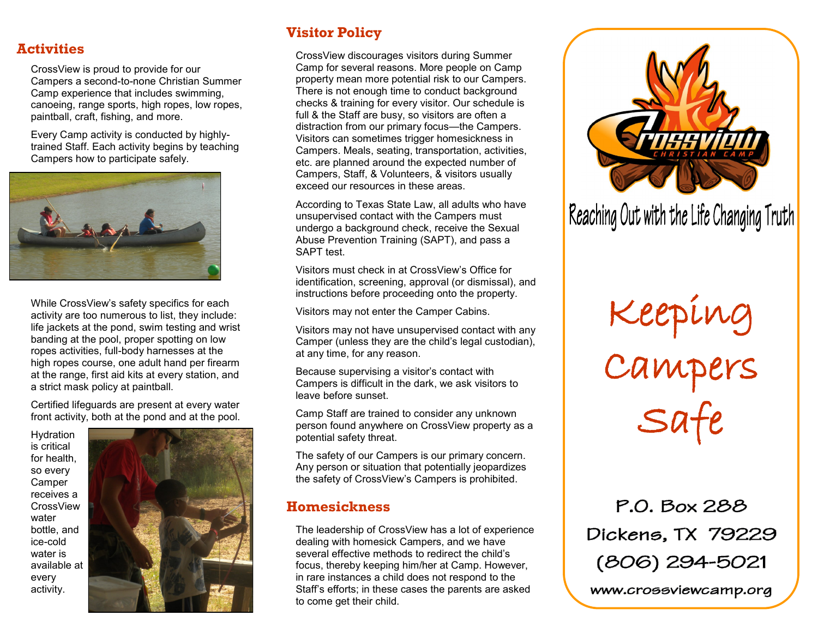### **Activities**

CrossView is proud to provide for our Campers a second-to-none Christian Summer Camp experience that includes swimming, canoeing, range sports, high ropes, low ropes, paintball, craft, fishing, and more.

Every Camp activity is conducted by highlytrained Staff. Each activity begins by teaching Campers how to participate safely.



While CrossView's safety specifics for each activity are too numerous to list, they include: life jackets at the pond, swim testing and wrist banding at the pool, proper spotting on low ropes activities, full-body harnesses at the high ropes course, one adult hand per firearm at the range, first aid kits at every station, and a strict mask policy at paintball.

Certified lifeguards are present at every water front activity, both at the pond and at the pool.

Hydration is critical for health, so every Camper receives a CrossView water bottle, and ice-cold water is available at every activity.



# **Visitor Policy**

CrossView discourages visitors during Summer Camp for several reasons. More people on Camp property mean more potential risk to our Campers. There is not enough time to conduct background checks & training for every visitor. Our schedule is full & the Staff are busy, so visitors are often a distraction from our primary focus—the Campers. Visitors can sometimes trigger homesickness in Campers. Meals, seating, transportation, activities, etc. are planned around the expected number of Campers, Staff, & Volunteers, & visitors usually exceed our resources in these areas.

According to Texas State Law, all adults who have unsupervised contact with the Campers must undergo a background check, receive the Sexual Abuse Prevention Training (SAPT), and pass a SAPT test.

Visitors must check in at CrossView's Office for identification, screening, approval (or dismissal), and instructions before proceeding onto the property.

Visitors may not enter the Camper Cabins.

Visitors may not have unsupervised contact with any Camper (unless they are the child's legal custodian), at any time, for any reason.

Because supervising a visitor's contact with Campers is difficult in the dark, we ask visitors to leave before sunset.

Camp Staff are trained to consider any unknown person found anywhere on CrossView property as a potential safety threat.

The safety of our Campers is our primary concern. Any person or situation that potentially jeopardizes the safety of CrossView's Campers is prohibited.

## **Homesickness**

The leadership of CrossView has a lot of experience dealing with homesick Campers, and we have several effective methods to redirect the child's focus, thereby keeping him/her at Camp. However, in rare instances a child does not respond to the Staff's efforts; in these cases the parents are asked to come get their child.



Reaching Out with the Life Changing Truth

Keeping Campers Safe

P.O. Box 288 Dickens, TX 79229 (806) 294-5021

www.crossviewcamp.org